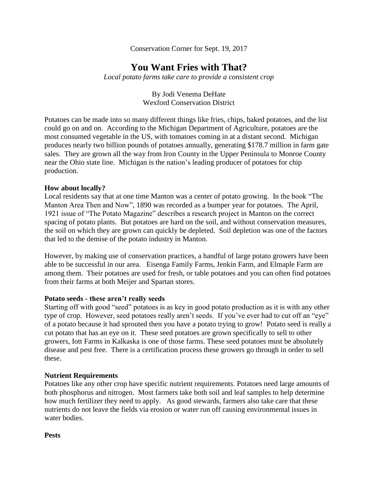Conservation Corner for Sept. 19, 2017

# **You Want Fries with That?**

*Local potato farms take care to provide a consistent crop*

By Jodi Venema DeHate Wexford Conservation District

Potatoes can be made into so many different things like fries, chips, baked potatoes, and the list could go on and on. According to the Michigan Department of Agriculture, potatoes are the most consumed vegetable in the US, with tomatoes coming in at a distant second. Michigan produces nearly two billion pounds of potatoes annually, generating \$178.7 million in farm gate sales. They are grown all the way from Iron County in the Upper Peninsula to Monroe County near the Ohio state line. Michigan is the nation's leading producer of potatoes for chip production.

#### **How about locally?**

Local residents say that at one time Manton was a center of potato growing. In the book "The Manton Area Then and Now", 1890 was recorded as a bumper year for potatoes. The April, 1921 issue of "The Potato Magazine" describes a research project in Manton on the correct spacing of potato plants. But potatoes are hard on the soil, and without conservation measures, the soil on which they are grown can quickly be depleted. Soil depletion was one of the factors that led to the demise of the potato industry in Manton.

However, by making use of conservation practices, a handful of large potato growers have been able to be successful in our area. Eisenga Family Farms, Jenkin Farm, and Elmaple Farm are among them. Their potatoes are used for fresh, or table potatoes and you can often find potatoes from their farms at both Meijer and Spartan stores.

#### **Potato seeds - these aren't really seeds**

Starting off with good "seed" potatoes is as key in good potato production as it is with any other type of crop. However, seed potatoes really aren't seeds. If you've ever had to cut off an "eye" of a potato because it had sprouted then you have a potato trying to grow! Potato seed is really a cut potato that has an eye on it. These seed potatoes are grown specifically to sell to other growers, Iott Farms in Kalkaska is one of those farms. These seed potatoes must be absolutely disease and pest free. There is a certification process these growers go through in order to sell these.

# **Nutrient Requirements**

Potatoes like any other crop have specific nutrient requirements. Potatoes need large amounts of both phosphorus and nitrogen. Most farmers take both soil and leaf samples to help determine how much fertilizer they need to apply. As good stewards, farmers also take care that these nutrients do not leave the fields via erosion or water run off causing environmental issues in water bodies.

**Pests**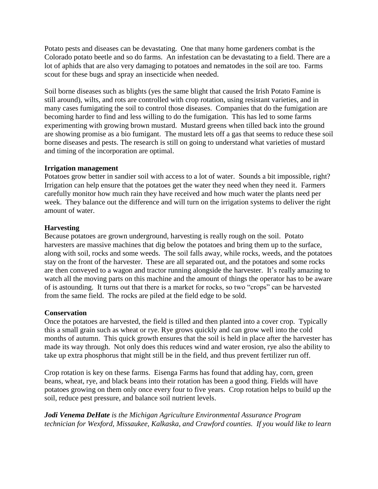Potato pests and diseases can be devastating. One that many home gardeners combat is the Colorado potato beetle and so do farms. An infestation can be devastating to a field. There are a lot of aphids that are also very damaging to potatoes and nematodes in the soil are too. Farms scout for these bugs and spray an insecticide when needed.

Soil borne diseases such as blights (yes the same blight that caused the Irish Potato Famine is still around), wilts, and rots are controlled with crop rotation, using resistant varieties, and in many cases fumigating the soil to control those diseases. Companies that do the fumigation are becoming harder to find and less willing to do the fumigation. This has led to some farms experimenting with growing brown mustard. Mustard greens when tilled back into the ground are showing promise as a bio fumigant. The mustard lets off a gas that seems to reduce these soil borne diseases and pests. The research is still on going to understand what varieties of mustard and timing of the incorporation are optimal.

#### **Irrigation management**

Potatoes grow better in sandier soil with access to a lot of water. Sounds a bit impossible, right? Irrigation can help ensure that the potatoes get the water they need when they need it. Farmers carefully monitor how much rain they have received and how much water the plants need per week. They balance out the difference and will turn on the irrigation systems to deliver the right amount of water.

# **Harvesting**

Because potatoes are grown underground, harvesting is really rough on the soil. Potato harvesters are massive machines that dig below the potatoes and bring them up to the surface, along with soil, rocks and some weeds. The soil falls away, while rocks, weeds, and the potatoes stay on the front of the harvester. These are all separated out, and the potatoes and some rocks are then conveyed to a wagon and tractor running alongside the harvester. It's really amazing to watch all the moving parts on this machine and the amount of things the operator has to be aware of is astounding. It turns out that there is a market for rocks, so two "crops" can be harvested from the same field. The rocks are piled at the field edge to be sold.

# **Conservation**

Once the potatoes are harvested, the field is tilled and then planted into a cover crop. Typically this a small grain such as wheat or rye. Rye grows quickly and can grow well into the cold months of autumn. This quick growth ensures that the soil is held in place after the harvester has made its way through. Not only does this reduces wind and water erosion, rye also the ability to take up extra phosphorus that might still be in the field, and thus prevent fertilizer run off.

Crop rotation is key on these farms. Eisenga Farms has found that adding hay, corn, green beans, wheat, rye, and black beans into their rotation has been a good thing. Fields will have potatoes growing on them only once every four to five years. Crop rotation helps to build up the soil, reduce pest pressure, and balance soil nutrient levels.

*Jodi Venema DeHate is the Michigan Agriculture Environmental Assurance Program technician for Wexford, Missaukee, Kalkaska, and Crawford counties. If you would like to learn*